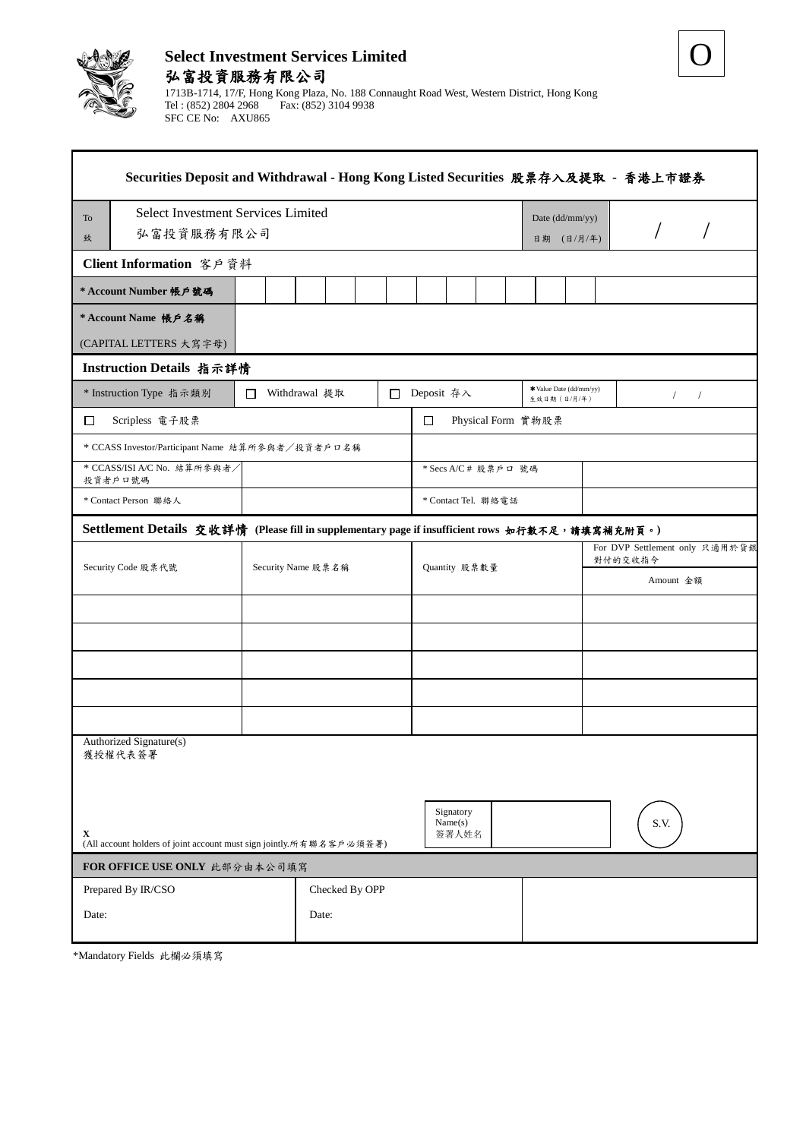

O

| Securities Deposit and Withdrawal - Hong Kong Listed Securities 股票存入及提取 - 香港上市證券                |                |                               |                                        |                                           |  |  |
|-------------------------------------------------------------------------------------------------|----------------|-------------------------------|----------------------------------------|-------------------------------------------|--|--|
| <b>Select Investment Services Limited</b><br>To                                                 |                |                               | Date (dd/mm/yy)                        |                                           |  |  |
| 弘富投資服務有限公司<br>致                                                                                 |                |                               | 日期 (日/月/年)                             |                                           |  |  |
| Client Information 客戶資料                                                                         |                |                               |                                        |                                           |  |  |
| * Account Number 帳戶號碼                                                                           |                |                               |                                        |                                           |  |  |
| * Account Name 帳戶名稱                                                                             |                |                               |                                        |                                           |  |  |
| (CAPITAL LETTERS 大寫字母)                                                                          |                |                               |                                        |                                           |  |  |
| Instruction Details 指示詳情                                                                        |                |                               |                                        |                                           |  |  |
| * Instruction Type 指示類別<br>$\Box$                                                               | Withdrawal 提取  | □ Deposit 存入                  | *Value Date (dd/mm/yy)<br>生效日期 (日/月/年) | $\sqrt{2}$<br>$\sqrt{2}$                  |  |  |
| □<br>Scripless 電子股票                                                                             |                | $\Box$<br>Physical Form 實物股票  |                                        |                                           |  |  |
| * CCASS Investor/Participant Name 結算所參與者/投資者戶口名稱                                                |                |                               |                                        |                                           |  |  |
| * CCASS/ISI A/C No. 結算所参與者/<br>投資者戶口號碼                                                          |                | * Secs A/C # 股票戶口 號碼          |                                        |                                           |  |  |
| * Contact Person 聯絡人                                                                            |                | * Contact Tel. 聯絡電話           |                                        |                                           |  |  |
| Settlement Details 交收詳情 (Please fill in supplementary page if insufficient rows 如行數不足,請填寫補充附頁。) |                |                               |                                        |                                           |  |  |
| Security Code 股票代號<br>Security Name 股票名稱                                                        |                |                               |                                        | For DVP Settlement only 只適用於貨銀<br>對付的交收指令 |  |  |
|                                                                                                 |                | Quantity 股票數量                 |                                        | Amount 金額                                 |  |  |
|                                                                                                 |                |                               |                                        |                                           |  |  |
|                                                                                                 |                |                               |                                        |                                           |  |  |
|                                                                                                 |                |                               |                                        |                                           |  |  |
|                                                                                                 |                |                               |                                        |                                           |  |  |
|                                                                                                 |                |                               |                                        |                                           |  |  |
| Authorized Signature(s)<br>獲授權代表簽署                                                              |                |                               |                                        |                                           |  |  |
| X<br>(All account holders of joint account must sign jointly.所有聯名客戶必須簽署)                        |                | Signatory<br>Name(s)<br>簽署人姓名 |                                        | S.V.                                      |  |  |
| FOR OFFICE USE ONLY 此部分由本公司填寫                                                                   |                |                               |                                        |                                           |  |  |
| Prepared By IR/CSO                                                                              | Checked By OPP |                               |                                        |                                           |  |  |
| Date:                                                                                           | Date:          |                               |                                        |                                           |  |  |

\*Mandatory Fields 此欄必須填寫